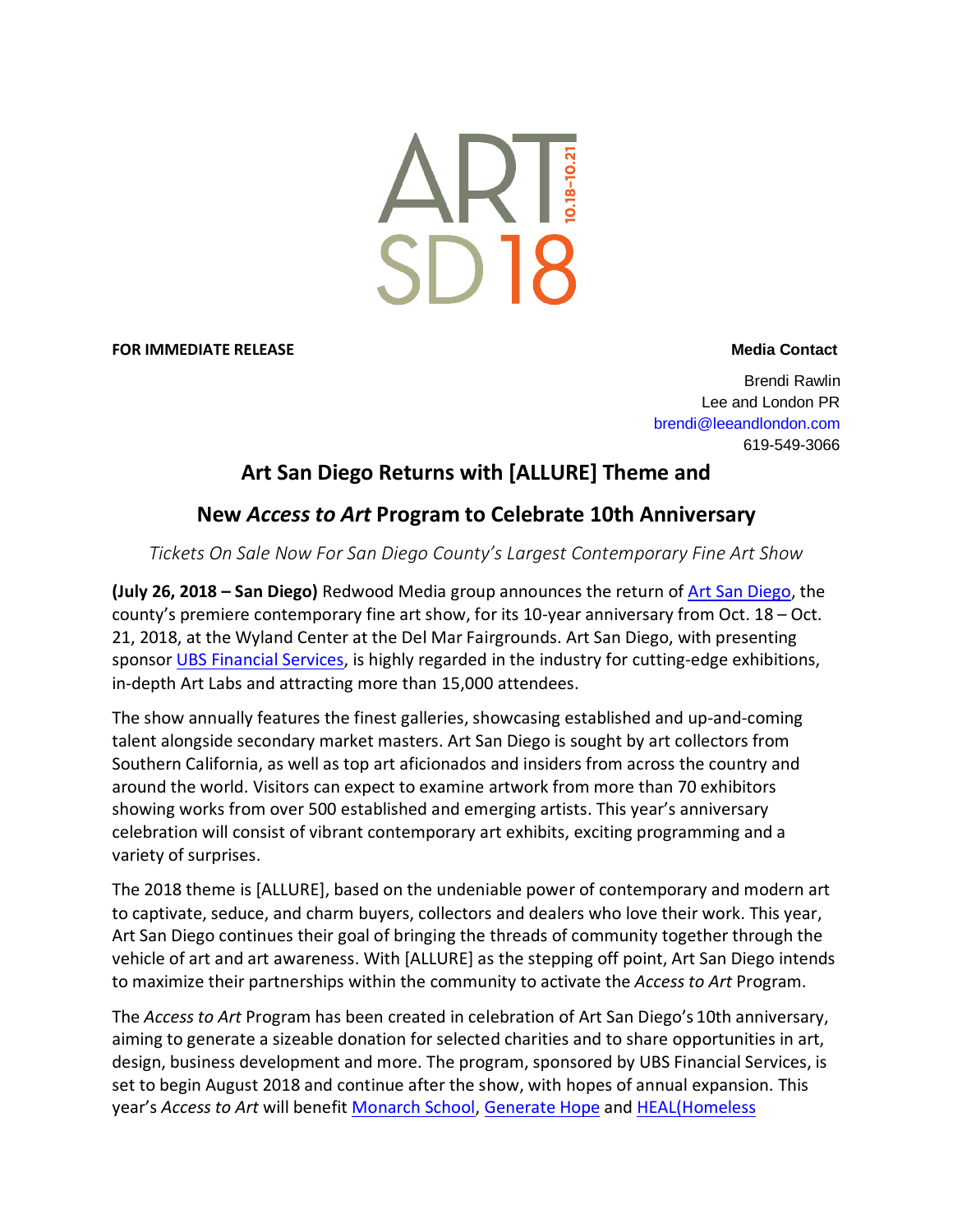

#### **FOR IMMEDIATE RELEASE** *Media* **Contact**

Brendi Rawlin Lee and London PR brendi@leeandlondon.com 619-549-3066

# **Art San Diego Returns with [ALLURE] Theme and**

# **New** *Access to Art* **Program to Celebrate 10th Anniversary**

*Tickets On Sale Now For San Diego County's Largest Contemporary Fine Art Show*

**(July 26, 2018 – San Diego)** Redwood Media group announces the return of [Art San Diego,](http://art-sandiego.com/) the county's premiere contemporary fine art show, for its 10-year anniversary from Oct. 18 – Oct. 21, 2018, at the Wyland Center at the Del Mar Fairgrounds. Art San Diego, with presenting sponsor [UBS Financial Services,](https://www.ubs.com/us/en.html) is highly regarded in the industry for cutting-edge exhibitions, in-depth Art Labs and attracting more than 15,000 attendees.

The show annually features the finest galleries, showcasing established and up-and-coming talent alongside secondary market masters. Art San Diego is sought by art collectors from Southern California, as well as top art aficionados and insiders from across the country and around the world. Visitors can expect to examine artwork from more than 70 exhibitors showing works from over 500 established and emerging artists. This year's anniversary celebration will consist of vibrant contemporary art exhibits, exciting programming and a variety of surprises.

The 2018 theme is [ALLURE], based on the undeniable power of contemporary and modern art to captivate, seduce, and charm buyers, collectors and dealers who love their work. This year, Art San Diego continues their goal of bringing the threads of community together through the vehicle of art and art awareness. With [ALLURE] as the stepping off point, Art San Diego intends to maximize their partnerships within the community to activate the *Access to Art* Program.

The *Access to Art* Program has been created in celebration of Art San Diego's 10th anniversary, aiming to generate a sizeable donation for selected charities and to share opportunities in art, design, business development and more. The program, sponsored by UBS Financial Services, is set to begin August 2018 and continue after the show, with hopes of annual expansion. This year's *Access to Art* will benefit [Monarch School,](http://monarchschools.org/about/) Generate Hope and [HEAL\(Homeless](http://www.heal-sd.org/)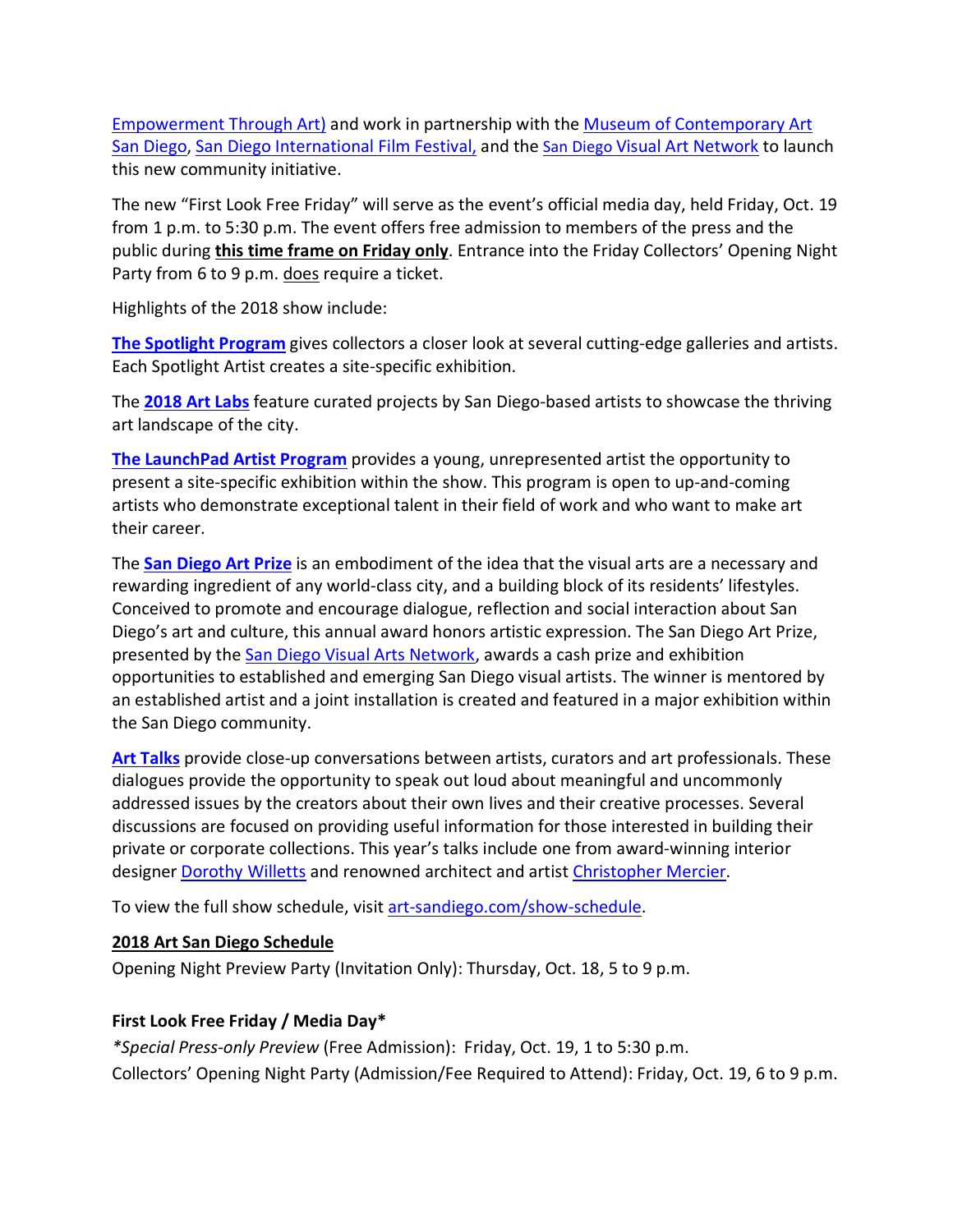[Empowerment Through Art\)](http://www.heal-sd.org/) and work in partnership with the [Museum of Contemporary Art](https://www.mcasd.org/)  [San Diego,](https://www.mcasd.org/) [San Diego International Film Festival,](http://sdfilmfest.com/) and the [San Diego Visual Art Network](http://www.sdvisualarts.net/sdvan_new/index.php) to launch this new community initiative.

The new "First Look Free Friday" will serve as the event's official media day, held Friday, Oct. 19 from 1 p.m. to 5:30 p.m. The event offers free admission to members of the press and the public during **this time frame on Friday only**. Entrance into the Friday Collectors' Opening Night Party from 6 to 9 p.m. does require a ticket.

Highlights of the 2018 show include:

**[The Spotlight Program](http://art-sandiego.com/attend/programs/spotlight-program/)** gives collectors a closer look at several cutting-edge galleries and artists. Each Spotlight Artist creates a site-specific exhibition.

The **[2018 Art Labs](http://art-sandiego.com/attend/programs/art-labs/)** feature curated projects by San Diego-based artists to showcase the thriving art landscape of the city.

**[The LaunchPad Artist Program](http://art-sandiego.com/attend/programs/launchpad-program/)** provides a young, unrepresented artist the opportunity to present a site-specific exhibition within the show. This program is open to up-and-coming artists who demonstrate exceptional talent in their field of work and who want to make art their career.

The **San [Diego Art Prize](http://art-sandiego.com/about/2011-recap/san-diego-art-prize/)** is an embodiment of the idea that the visual arts are a necessary and rewarding ingredient of any world-class city, and a building block of its residents' lifestyles. Conceived to promote and encourage dialogue, reflection and social interaction about San Diego's art and culture, this annual award honors artistic expression. The San Diego Art Prize, presented by the [San Diego Visual Arts Network,](http://www.sdvisualarts.net/sdvan_new/index.php) awards a cash prize and exhibition opportunities to established and emerging San Diego visual artists. The winner is mentored by an established artist and a joint installation is created and featured in a major exhibition within the San Diego community.

**[Art Talks](http://art-sandiego.com/art-talks/)** provide close-up conversations between artists, curators and art professionals. These dialogues provide the opportunity to speak out loud about meaningful and uncommonly addressed issues by the creators about their own lives and their creative processes. Several discussions are focused on providing useful information for those interested in building their private or corporate collections. This year's talks include one from award-winning interior designer [Dorothy Willetts](http://willettsdesign.com/) and renowned architect and artist [Christopher Mercier.](http://ferstudio.com/)

To view the full show schedule, visit [art-sandiego.com/show-schedule.](http://art-sandiego.com/show-schedule)

# **2018 Art San Diego Schedule**

Opening Night Preview Party (Invitation Only): Thursday, Oct. 18, 5 to 9 p.m.

# **First Look Free Friday / Media Day\***

*\*Special Press-only Preview* (Free Admission): Friday, Oct. 19, 1 to 5:30 p.m. Collectors' Opening Night Party (Admission/Fee Required to Attend): Friday, Oct. 19, 6 to 9 p.m.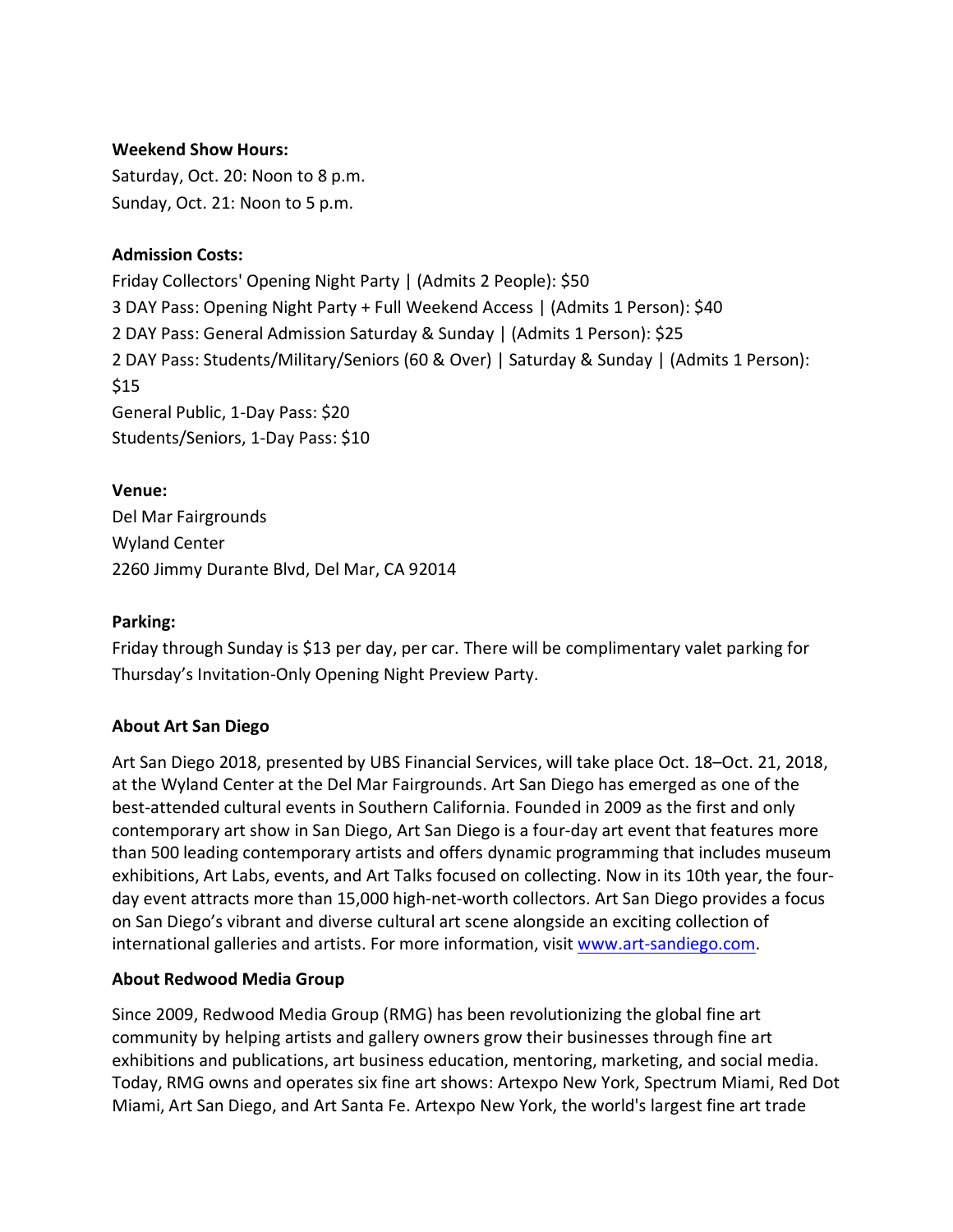### **Weekend Show Hours:**

Saturday, Oct. 20: Noon to 8 p.m. Sunday, Oct. 21: Noon to 5 p.m.

### **Admission Costs:**

Friday Collectors' Opening Night Party | (Admits 2 People): \$50 3 DAY Pass: Opening Night Party + Full Weekend Access | (Admits 1 Person): \$40 2 DAY Pass: General Admission Saturday & Sunday | (Admits 1 Person): \$25 2 DAY Pass: Students/Military/Seniors (60 & Over) | Saturday & Sunday | (Admits 1 Person): \$15 General Public, 1-Day Pass: \$20 Students/Seniors, 1-Day Pass: \$10

#### **Venue:**

Del Mar Fairgrounds Wyland Center 2260 Jimmy Durante Blvd, Del Mar, CA 92014

#### **Parking:**

Friday through Sunday is \$13 per day, per car. There will be complimentary valet parking for Thursday's Invitation-Only Opening Night Preview Party.

# **About Art San Diego**

Art San Diego 2018, presented by UBS Financial Services, will take place Oct. 18–Oct. 21, 2018, at the Wyland Center at the Del Mar Fairgrounds. Art San Diego has emerged as one of the best-attended cultural events in Southern California. Founded in 2009 as the first and only contemporary art show in San Diego, Art San Diego is a four-day art event that features more than 500 leading contemporary artists and offers dynamic programming that includes museum exhibitions, Art Labs, events, and Art Talks focused on collecting. Now in its 10th year, the fourday event attracts more than 15,000 high-net-worth collectors. Art San Diego provides a focus on San Diego's vibrant and diverse cultural art scene alongside an exciting collection of international galleries and artists. For more information, visit www.art-sandiego.com.

# **About Redwood Media Group**

Since 2009, Redwood Media Group (RMG) has been revolutionizing the global fine art community by helping artists and gallery owners grow their businesses through fine art exhibitions and publications, art business education, mentoring, marketing, and social media. Today, RMG owns and operates six fine art shows: Artexpo New York, Spectrum Miami, Red Dot Miami, Art San Diego, and Art Santa Fe. Artexpo New York, the world's largest fine art trade